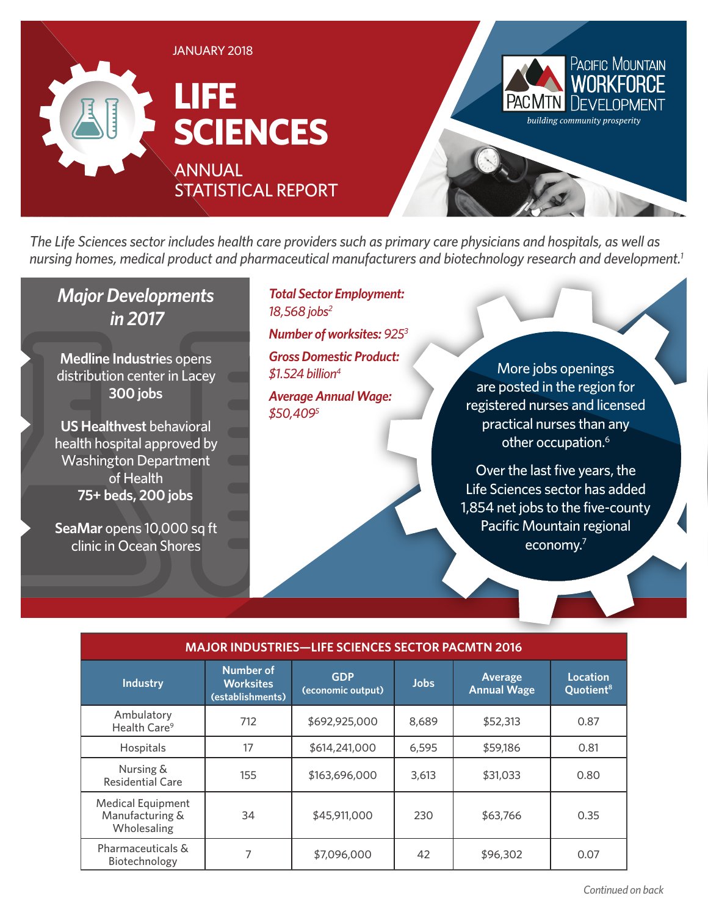

*The Life Sciences sector includes health care providers such as primary care physicians and hospitals, as well as nursing homes, medical product and pharmaceutical manufacturers and biotechnology research and development.1*

## *Major Developments in 2017*

**Medline Industrie**s opens distribution center in Lacey **300 jobs**

**US Healthvest** behavioral health hospital approved by Washington Department of Health **75+ beds, 200 jobs**

**SeaMar** opens 10,000 sq ft clinic in Ocean Shores

*Total Sector Employment: 18,568 jobs2*

*Number of worksites: 9253*

*Gross Domestic Product: \$1.524 billion4*

*Average Annual Wage: \$50,4095*

More jobs openings are posted in the region for registered nurses and licensed practical nurses than any other occupation.<sup>6</sup>

Over the last five years, the Life Sciences sector has added 1,854 net jobs to the five-county Pacific Mountain regional economy.7

| <b>MAJOR INDUSTRIES-LIFE SCIENCES SECTOR PACMTN 2016</b>   |                                                          |                                 |             |                               |                                          |
|------------------------------------------------------------|----------------------------------------------------------|---------------------------------|-------------|-------------------------------|------------------------------------------|
| <b>Industry</b>                                            | <b>Number of</b><br><b>Worksites</b><br>(establishments) | <b>GDP</b><br>(economic output) | <b>Jobs</b> | Average<br><b>Annual Wage</b> | <b>Location</b><br>Quotient <sup>8</sup> |
| Ambulatory<br>Health Care <sup>9</sup>                     | 712                                                      | \$692,925,000                   | 8,689       | \$52,313                      | 0.87                                     |
| Hospitals                                                  | 17                                                       | \$614,241,000                   | 6,595       | \$59,186                      | 0.81                                     |
| Nursing &<br><b>Residential Care</b>                       | 155                                                      | \$163,696,000                   | 3,613       | \$31,033                      | 0.80                                     |
| <b>Medical Equipment</b><br>Manufacturing &<br>Wholesaling | 34                                                       | \$45,911,000                    | 230         | \$63,766                      | 0.35                                     |
| Pharmaceuticals &<br>Biotechnology                         |                                                          | \$7,096,000                     | 42          | \$96,302                      | 0.07                                     |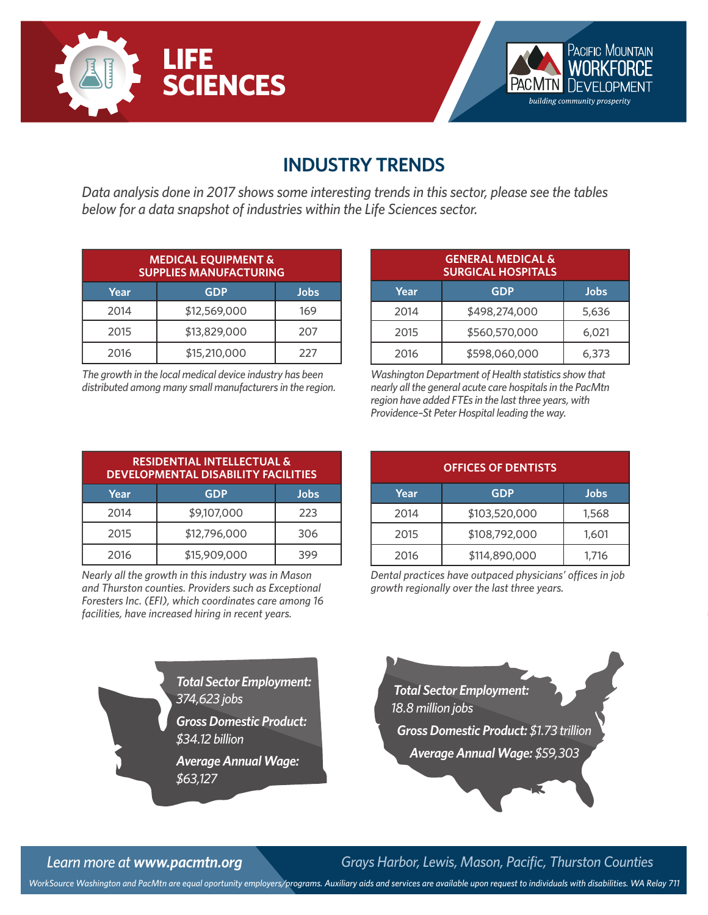



## **INDUSTRY TRENDS**

*Data analysis done in 2017 shows some interesting trends in this sector, please see the tables below for a data snapshot of industries within the Life Sciences sector.*

|      | <b>MEDICAL EQUIPMENT &amp;</b><br><b>SUPPLIES MANUFACTURING</b> |      |
|------|-----------------------------------------------------------------|------|
| Year | <b>GDP</b>                                                      | Jobs |
| 2014 | \$12,569,000                                                    | 169  |
| 2015 | \$13,829,000                                                    | 207  |
| 2016 | \$15,210,000                                                    | 227  |

*The growth in the local medical device industry has been distributed among many small manufacturers in the region.*

|      | <b>GENERAL MEDICAL &amp;</b><br><b>SURGICAL HOSPITALS</b> |       |
|------|-----------------------------------------------------------|-------|
| Year | <b>GDP</b>                                                | Jobs  |
| 2014 | \$498,274,000                                             | 5,636 |
| 2015 | \$560,570,000                                             | 6,021 |
| 2016 | \$598,060,000                                             | 6,373 |

*Washington Department of Health statistics show that nearly all the general acute care hospitals in the PacMtn region have added FTEs in the last three years, with Providence–St Peter Hospital leading the way.*

**OFFICES OF DENTISTS**

**Year GDP Jobs** 2014 \$103,520,000 1,568 2015 \$108,792,000 1,601 2016 \$114,890,000 1,716 *Dental practices have outpaced physicians' offices in job* 

| <b>RESIDENTIAL INTELLECTUAL &amp;</b><br><b>DEVELOPMENTAL DISABILITY FACILITIES</b> |              |      |  |  |
|-------------------------------------------------------------------------------------|--------------|------|--|--|
| Year                                                                                | <b>GDP</b>   | Jobs |  |  |
| 2014                                                                                | \$9,107,000  | 223  |  |  |
| 2015                                                                                | \$12,796,000 | 306  |  |  |
| 2016                                                                                | \$15,909,000 |      |  |  |

*Nearly all the growth in this industry was in Mason and Thurston counties. Providers such as Exceptional Foresters Inc. (EFI), which coordinates care among 16 facilities, have increased hiring in recent years.*

*growth regionally over the last three years.*

*Total Sector Employment: 374,623 jobs*

*Gross Domestic Product: \$34.12 billion*

*Average Annual Wage: \$63,127*



*Learn more at www.pacmtn.org Grays Harbor, Lewis, Mason, Pacific, Thurston Counties*

*WorkSource Washington and PacMtn are equal oportunity employers/programs. Auxiliary aids and services are available upon request to individuals with disabilities. WA Relay 711*